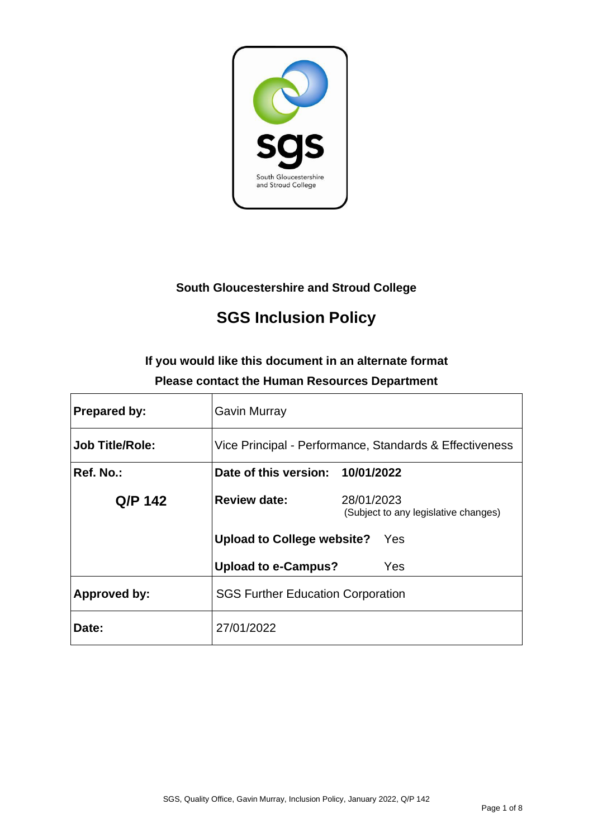

# **South Gloucestershire and Stroud College**

# **SGS Inclusion Policy**

# **If you would like this document in an alternate format Please contact the Human Resources Department**

| <b>Prepared by:</b>    | <b>Gavin Murray</b>                      |                                                         |
|------------------------|------------------------------------------|---------------------------------------------------------|
| <b>Job Title/Role:</b> |                                          | Vice Principal - Performance, Standards & Effectiveness |
| Ref. No.:              | Date of this version: 10/01/2022         |                                                         |
| Q/P 142                | <b>Review date:</b>                      | 28/01/2023<br>(Subject to any legislative changes)      |
|                        | Upload to College website?               | Yes                                                     |
|                        | <b>Upload to e-Campus?</b>               | Yes                                                     |
| <b>Approved by:</b>    | <b>SGS Further Education Corporation</b> |                                                         |
| Date:                  | 27/01/2022                               |                                                         |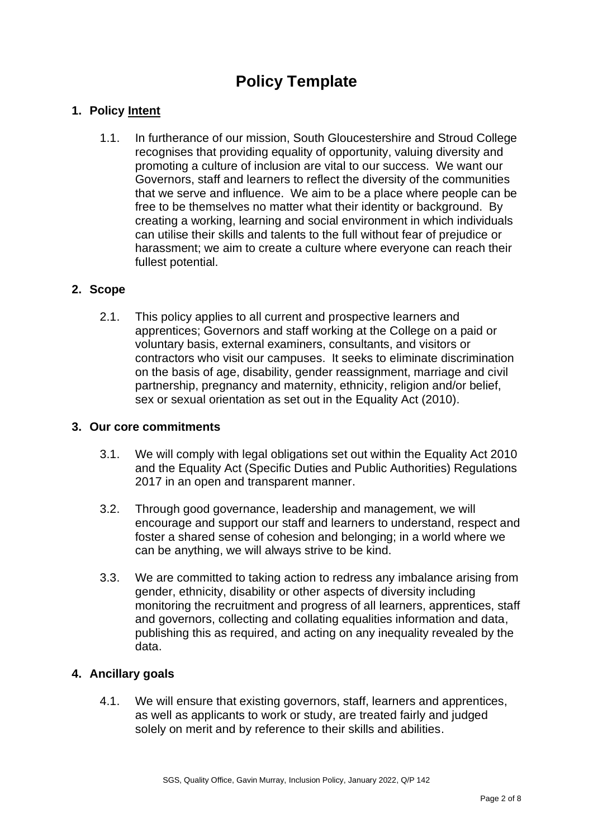# **Policy Template**

# **1. Policy Intent**

1.1. In furtherance of our mission, South Gloucestershire and Stroud College recognises that providing equality of opportunity, valuing diversity and promoting a culture of inclusion are vital to our success. We want our Governors, staff and learners to reflect the diversity of the communities that we serve and influence. We aim to be a place where people can be free to be themselves no matter what their identity or background. By creating a working, learning and social environment in which individuals can utilise their skills and talents to the full without fear of prejudice or harassment; we aim to create a culture where everyone can reach their fullest potential.

#### **2. Scope**

2.1. This policy applies to all current and prospective learners and apprentices; Governors and staff working at the College on a paid or voluntary basis, external examiners, consultants, and visitors or contractors who visit our campuses. It seeks to eliminate discrimination on the basis of age, disability, gender reassignment, marriage and civil partnership, pregnancy and maternity, ethnicity, religion and/or belief, sex or sexual orientation as set out in the Equality Act (2010).

#### **3. Our core commitments**

- 3.1. We will comply with legal obligations set out within the Equality Act 2010 and the Equality Act (Specific Duties and Public Authorities) Regulations 2017 in an open and transparent manner.
- 3.2. Through good governance, leadership and management, we will encourage and support our staff and learners to understand, respect and foster a shared sense of cohesion and belonging; in a world where we can be anything, we will always strive to be kind.
- 3.3. We are committed to taking action to redress any imbalance arising from gender, ethnicity, disability or other aspects of diversity including monitoring the recruitment and progress of all learners, apprentices, staff and governors, collecting and collating equalities information and data, publishing this as required, and acting on any inequality revealed by the data.

# **4. Ancillary goals**

4.1. We will ensure that existing governors, staff, learners and apprentices, as well as applicants to work or study, are treated fairly and judged solely on merit and by reference to their skills and abilities.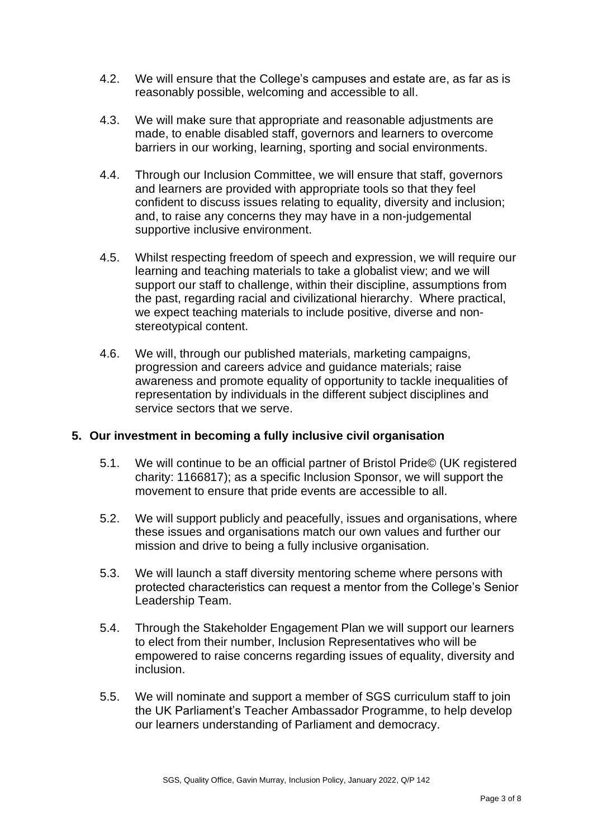- 4.2. We will ensure that the College's campuses and estate are, as far as is reasonably possible, welcoming and accessible to all.
- 4.3. We will make sure that appropriate and reasonable adjustments are made, to enable disabled staff, governors and learners to overcome barriers in our working, learning, sporting and social environments.
- 4.4. Through our Inclusion Committee, we will ensure that staff, governors and learners are provided with appropriate tools so that they feel confident to discuss issues relating to equality, diversity and inclusion; and, to raise any concerns they may have in a non-judgemental supportive inclusive environment.
- 4.5. Whilst respecting freedom of speech and expression, we will require our learning and teaching materials to take a globalist view; and we will support our staff to challenge, within their discipline, assumptions from the past, regarding racial and civilizational hierarchy. Where practical, we expect teaching materials to include positive, diverse and nonstereotypical content.
- 4.6. We will, through our published materials, marketing campaigns, progression and careers advice and guidance materials; raise awareness and promote equality of opportunity to tackle inequalities of representation by individuals in the different subject disciplines and service sectors that we serve.

# **5. Our investment in becoming a fully inclusive civil organisation**

- 5.1. We will continue to be an official partner of Bristol Pride© (UK registered charity: 1166817); as a specific Inclusion Sponsor, we will support the movement to ensure that pride events are accessible to all.
- 5.2. We will support publicly and peacefully, issues and organisations, where these issues and organisations match our own values and further our mission and drive to being a fully inclusive organisation.
- 5.3. We will launch a staff diversity mentoring scheme where persons with protected characteristics can request a mentor from the College's Senior Leadership Team.
- 5.4. Through the Stakeholder Engagement Plan we will support our learners to elect from their number, Inclusion Representatives who will be empowered to raise concerns regarding issues of equality, diversity and inclusion.
- 5.5. We will nominate and support a member of SGS curriculum staff to join the UK Parliament's Teacher Ambassador Programme, to help develop our learners understanding of Parliament and democracy.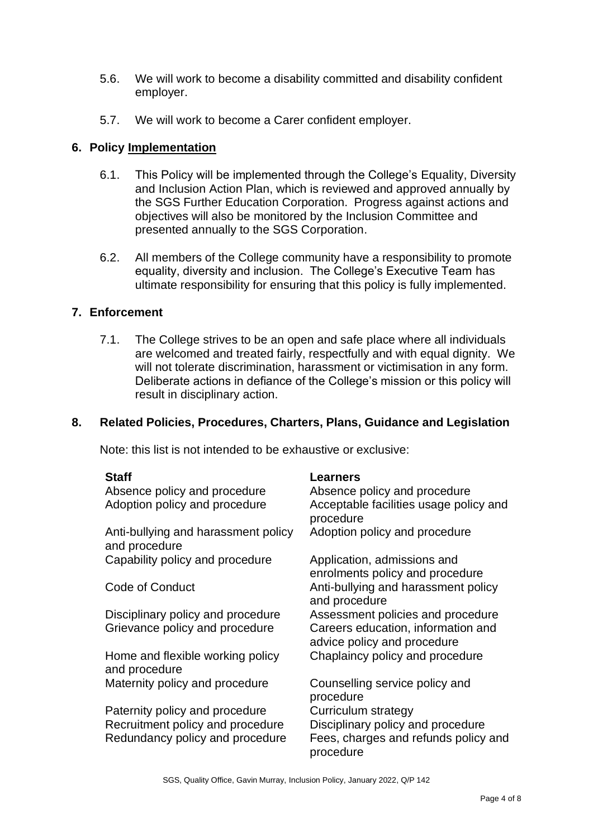- 5.6. We will work to become a disability committed and disability confident employer.
- 5.7. We will work to become a Carer confident employer.

# **6. Policy Implementation**

- 6.1. This Policy will be implemented through the College's Equality, Diversity and Inclusion Action Plan, which is reviewed and approved annually by the SGS Further Education Corporation. Progress against actions and objectives will also be monitored by the Inclusion Committee and presented annually to the SGS Corporation.
- 6.2. All members of the College community have a responsibility to promote equality, diversity and inclusion. The College's Executive Team has ultimate responsibility for ensuring that this policy is fully implemented.

#### **7. Enforcement**

7.1. The College strives to be an open and safe place where all individuals are welcomed and treated fairly, respectfully and with equal dignity. We will not tolerate discrimination, harassment or victimisation in any form. Deliberate actions in defiance of the College's mission or this policy will result in disciplinary action.

#### **8. Related Policies, Procedures, Charters, Plans, Guidance and Legislation**

Note: this list is not intended to be exhaustive or exclusive:

| <b>Staff</b>                                         | Learners                                                          |
|------------------------------------------------------|-------------------------------------------------------------------|
| Absence policy and procedure                         | Absence policy and procedure                                      |
| Adoption policy and procedure                        | Acceptable facilities usage policy and<br>procedure               |
| Anti-bullying and harassment policy<br>and procedure | Adoption policy and procedure                                     |
| Capability policy and procedure                      | Application, admissions and<br>enrolments policy and procedure    |
| Code of Conduct                                      | Anti-bullying and harassment policy<br>and procedure              |
| Disciplinary policy and procedure                    | Assessment policies and procedure                                 |
| Grievance policy and procedure                       | Careers education, information and<br>advice policy and procedure |
| Home and flexible working policy<br>and procedure    | Chaplaincy policy and procedure                                   |
| Maternity policy and procedure                       | Counselling service policy and<br>procedure                       |
| Paternity policy and procedure                       | <b>Curriculum strategy</b>                                        |
| Recruitment policy and procedure                     | Disciplinary policy and procedure                                 |
| Redundancy policy and procedure                      | Fees, charges and refunds policy and<br>procedure                 |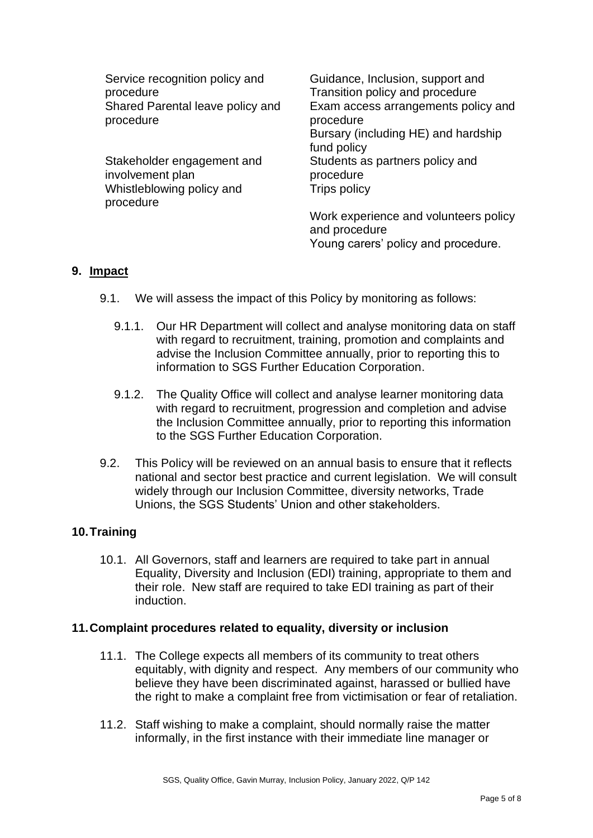Service recognition policy and procedure Shared Parental leave policy and procedure

Stakeholder engagement and involvement plan Whistleblowing policy and procedure

Guidance, Inclusion, support and Transition policy and procedure Exam access arrangements policy and procedure Bursary (including HE) and hardship fund policy Students as partners policy and procedure Trips policy

Work experience and volunteers policy and procedure Young carers' policy and procedure.

# **9. Impact**

- 9.1. We will assess the impact of this Policy by monitoring as follows:
	- 9.1.1. Our HR Department will collect and analyse monitoring data on staff with regard to recruitment, training, promotion and complaints and advise the Inclusion Committee annually, prior to reporting this to information to SGS Further Education Corporation.
	- 9.1.2. The Quality Office will collect and analyse learner monitoring data with regard to recruitment, progression and completion and advise the Inclusion Committee annually, prior to reporting this information to the SGS Further Education Corporation.
- 9.2. This Policy will be reviewed on an annual basis to ensure that it reflects national and sector best practice and current legislation. We will consult widely through our Inclusion Committee, diversity networks, Trade Unions, the SGS Students' Union and other stakeholders.

# **10.Training**

10.1. All Governors, staff and learners are required to take part in annual Equality, Diversity and Inclusion (EDI) training, appropriate to them and their role. New staff are required to take EDI training as part of their induction.

#### **11.Complaint procedures related to equality, diversity or inclusion**

- 11.1. The College expects all members of its community to treat others equitably, with dignity and respect. Any members of our community who believe they have been discriminated against, harassed or bullied have the right to make a complaint free from victimisation or fear of retaliation.
- 11.2. Staff wishing to make a complaint, should normally raise the matter informally, in the first instance with their immediate line manager or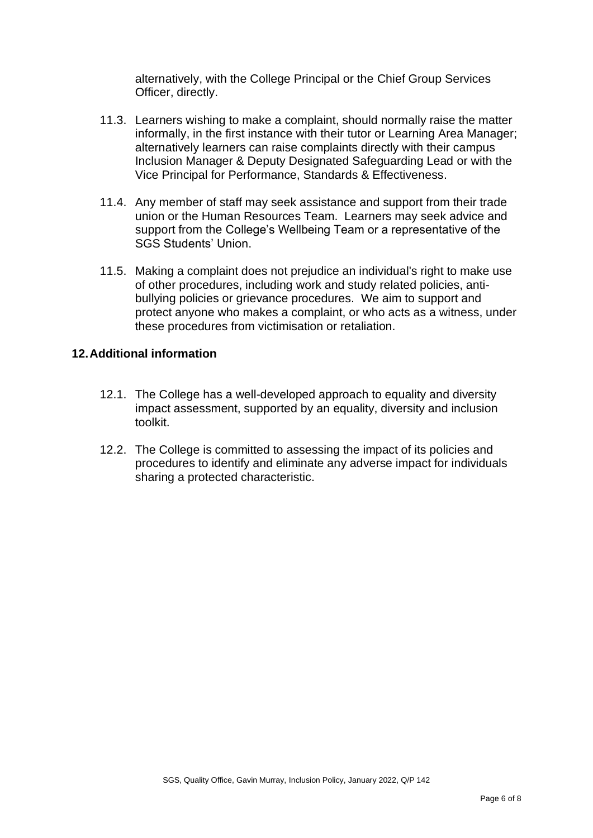alternatively, with the College Principal or the Chief Group Services Officer, directly.

- 11.3. Learners wishing to make a complaint, should normally raise the matter informally, in the first instance with their tutor or Learning Area Manager; alternatively learners can raise complaints directly with their campus Inclusion Manager & Deputy Designated Safeguarding Lead or with the Vice Principal for Performance, Standards & Effectiveness.
- 11.4. Any member of staff may seek assistance and support from their trade union or the Human Resources Team. Learners may seek advice and support from the College's Wellbeing Team or a representative of the SGS Students' Union.
- 11.5. Making a complaint does not prejudice an individual's right to make use of other procedures, including work and study related policies, antibullying policies or grievance procedures. We aim to support and protect anyone who makes a complaint, or who acts as a witness, under these procedures from victimisation or retaliation.

#### **12.Additional information**

- 12.1. The College has a well-developed approach to equality and diversity impact assessment, supported by an equality, diversity and inclusion toolkit.
- 12.2. The College is committed to assessing the impact of its policies and procedures to identify and eliminate any adverse impact for individuals sharing a protected characteristic.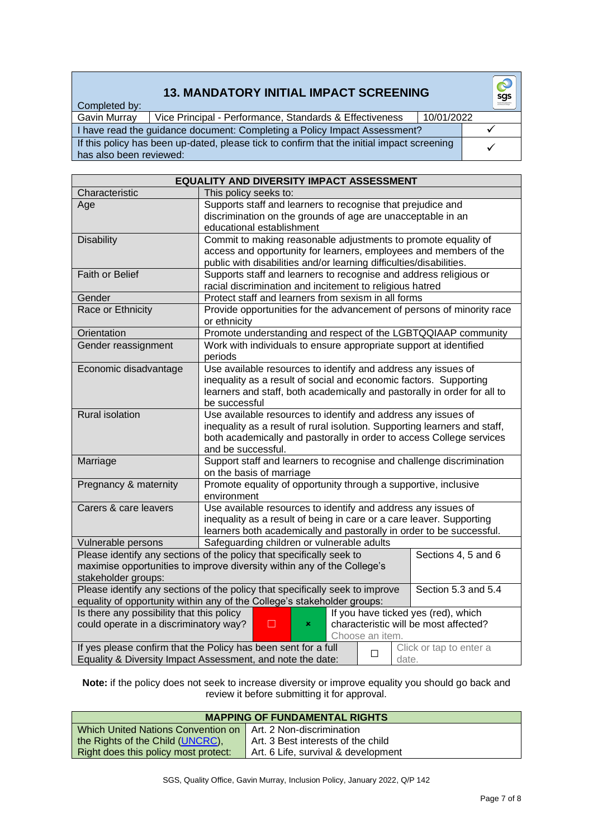# **13. MANDATORY INITIAL IMPACT SCREENING**

| Completed by:           |                                                                                            |            |  |
|-------------------------|--------------------------------------------------------------------------------------------|------------|--|
| Gavin Murray            | Vice Principal - Performance, Standards & Effectiveness                                    | 10/01/2022 |  |
|                         | I have read the guidance document: Completing a Policy Impact Assessment?                  |            |  |
| has also been reviewed: | If this policy has been up-dated, please tick to confirm that the initial impact screening |            |  |

| Characteristic<br>This policy seeks to:<br>Supports staff and learners to recognise that prejudice and<br>Age<br>discrimination on the grounds of age are unacceptable in an<br>educational establishment<br>Commit to making reasonable adjustments to promote equality of<br><b>Disability</b><br>access and opportunity for learners, employees and members of the<br>public with disabilities and/or learning difficulties/disabilities.<br>Faith or Belief<br>Supports staff and learners to recognise and address religious or<br>racial discrimination and incitement to religious hatred |  |  |  |
|--------------------------------------------------------------------------------------------------------------------------------------------------------------------------------------------------------------------------------------------------------------------------------------------------------------------------------------------------------------------------------------------------------------------------------------------------------------------------------------------------------------------------------------------------------------------------------------------------|--|--|--|
|                                                                                                                                                                                                                                                                                                                                                                                                                                                                                                                                                                                                  |  |  |  |
|                                                                                                                                                                                                                                                                                                                                                                                                                                                                                                                                                                                                  |  |  |  |
|                                                                                                                                                                                                                                                                                                                                                                                                                                                                                                                                                                                                  |  |  |  |
|                                                                                                                                                                                                                                                                                                                                                                                                                                                                                                                                                                                                  |  |  |  |
|                                                                                                                                                                                                                                                                                                                                                                                                                                                                                                                                                                                                  |  |  |  |
|                                                                                                                                                                                                                                                                                                                                                                                                                                                                                                                                                                                                  |  |  |  |
|                                                                                                                                                                                                                                                                                                                                                                                                                                                                                                                                                                                                  |  |  |  |
|                                                                                                                                                                                                                                                                                                                                                                                                                                                                                                                                                                                                  |  |  |  |
| Protect staff and learners from sexism in all forms<br>Gender                                                                                                                                                                                                                                                                                                                                                                                                                                                                                                                                    |  |  |  |
| Race or Ethnicity<br>Provide opportunities for the advancement of persons of minority race                                                                                                                                                                                                                                                                                                                                                                                                                                                                                                       |  |  |  |
| or ethnicity                                                                                                                                                                                                                                                                                                                                                                                                                                                                                                                                                                                     |  |  |  |
| Orientation<br>Promote understanding and respect of the LGBTQQIAAP community                                                                                                                                                                                                                                                                                                                                                                                                                                                                                                                     |  |  |  |
| Gender reassignment<br>Work with individuals to ensure appropriate support at identified<br>periods                                                                                                                                                                                                                                                                                                                                                                                                                                                                                              |  |  |  |
| Use available resources to identify and address any issues of<br>Economic disadvantage                                                                                                                                                                                                                                                                                                                                                                                                                                                                                                           |  |  |  |
| inequality as a result of social and economic factors. Supporting                                                                                                                                                                                                                                                                                                                                                                                                                                                                                                                                |  |  |  |
| learners and staff, both academically and pastorally in order for all to                                                                                                                                                                                                                                                                                                                                                                                                                                                                                                                         |  |  |  |
| be successful<br>Rural isolation<br>Use available resources to identify and address any issues of                                                                                                                                                                                                                                                                                                                                                                                                                                                                                                |  |  |  |
| inequality as a result of rural isolution. Supporting learners and staff,                                                                                                                                                                                                                                                                                                                                                                                                                                                                                                                        |  |  |  |
| both academically and pastorally in order to access College services                                                                                                                                                                                                                                                                                                                                                                                                                                                                                                                             |  |  |  |
| and be successful.                                                                                                                                                                                                                                                                                                                                                                                                                                                                                                                                                                               |  |  |  |
| Support staff and learners to recognise and challenge discrimination<br>Marriage                                                                                                                                                                                                                                                                                                                                                                                                                                                                                                                 |  |  |  |
| on the basis of marriage                                                                                                                                                                                                                                                                                                                                                                                                                                                                                                                                                                         |  |  |  |
| Promote equality of opportunity through a supportive, inclusive<br>Pregnancy & maternity                                                                                                                                                                                                                                                                                                                                                                                                                                                                                                         |  |  |  |
| environment                                                                                                                                                                                                                                                                                                                                                                                                                                                                                                                                                                                      |  |  |  |
| Use available resources to identify and address any issues of<br>Carers & care leavers                                                                                                                                                                                                                                                                                                                                                                                                                                                                                                           |  |  |  |
| inequality as a result of being in care or a care leaver. Supporting<br>learners both academically and pastorally in order to be successful.                                                                                                                                                                                                                                                                                                                                                                                                                                                     |  |  |  |
| Safeguarding children or vulnerable adults<br>Vulnerable persons                                                                                                                                                                                                                                                                                                                                                                                                                                                                                                                                 |  |  |  |
| Please identify any sections of the policy that specifically seek to<br>Sections 4, 5 and 6                                                                                                                                                                                                                                                                                                                                                                                                                                                                                                      |  |  |  |
| maximise opportunities to improve diversity within any of the College's                                                                                                                                                                                                                                                                                                                                                                                                                                                                                                                          |  |  |  |
| stakeholder groups:                                                                                                                                                                                                                                                                                                                                                                                                                                                                                                                                                                              |  |  |  |
| Section 5.3 and 5.4<br>Please identify any sections of the policy that specifically seek to improve                                                                                                                                                                                                                                                                                                                                                                                                                                                                                              |  |  |  |
| equality of opportunity within any of the College's stakeholder groups:                                                                                                                                                                                                                                                                                                                                                                                                                                                                                                                          |  |  |  |
| Is there any possibility that this policy<br>If you have ticked yes (red), which                                                                                                                                                                                                                                                                                                                                                                                                                                                                                                                 |  |  |  |
| could operate in a discriminatory way?<br>characteristic will be most affected?<br>П<br>×                                                                                                                                                                                                                                                                                                                                                                                                                                                                                                        |  |  |  |
| Choose an item.                                                                                                                                                                                                                                                                                                                                                                                                                                                                                                                                                                                  |  |  |  |
| If yes please confirm that the Policy has been sent for a full<br>Click or tap to enter a<br>□<br>Equality & Diversity Impact Assessment, and note the date:<br>date.                                                                                                                                                                                                                                                                                                                                                                                                                            |  |  |  |

#### **Note:** if the policy does not seek to increase diversity or improve equality you should go back and review it before submitting it for approval.

| <b>MAPPING OF FUNDAMENTAL RIGHTS</b>                                   |                                     |  |
|------------------------------------------------------------------------|-------------------------------------|--|
| <u>l Which United Nations Convention on LArt. 2 Non-discrimination</u> |                                     |  |
| the Rights of the Child (UNCRC),                                       | Art. 3 Best interests of the child  |  |
| Right does this policy most protect:                                   | Art. 6 Life, survival & development |  |

 $\odot$ sgs